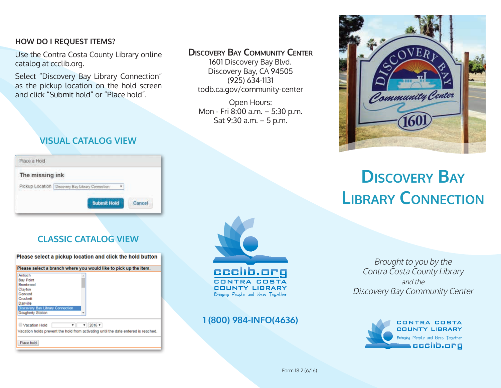#### **HOW DO I REQUEST ITEMS?**

Use the Contra Costa County Library online catalog at ccclib.org.

Select "Discovery Bay Library Connection" as the pickup location on the hold screen and click "Submit hold" or "Place hold".

## **VISUAL CATALOG VIEW**

| Place a Hold<br><b>CONTRACTOR CONTRACTOR</b>                                                                    |                                                 |  |
|-----------------------------------------------------------------------------------------------------------------|-------------------------------------------------|--|
| The missing ink<br>ショウス                                                                                         |                                                 |  |
| the star factory and the star of the property of the control of the star of the star of the star of the star of | Pickup Location   Discovery Bay Library Connect |  |
|                                                                                                                 | <b>Submit Hold</b>                              |  |

# **CLASSIC CATALOG VIEW**

Please select a pickup location and click the hold button

| <b>Bay Point</b><br>Brentwood<br>Clayton<br>Concord<br>Crockett                                                    | <b>Antioch</b> |  |
|--------------------------------------------------------------------------------------------------------------------|----------------|--|
|                                                                                                                    |                |  |
|                                                                                                                    |                |  |
|                                                                                                                    |                |  |
|                                                                                                                    |                |  |
|                                                                                                                    |                |  |
| Danville                                                                                                           |                |  |
| Discovery Bay Library Connection                                                                                   |                |  |
| Dougherty Station                                                                                                  |                |  |
|                                                                                                                    |                |  |
|                                                                                                                    |                |  |
| 2016 *<br>Vacation Hold<br>۳<br>Vacation holds prevent the hold from activating until the date entered is reached. |                |  |

### **Discovery Bay Community Center**

1601 Discovery Bay Blvd. Discovery Bay, CA 94505 (925) 634-1131 todb.ca.gov/community-center

Open Hours: Mon - Fri 8:00 a.m. – 5:30 p.m. Sat 9:30 a.m. – 5 p.m.



## **1 (800) 984-INFO(4636)**



# **Discovery Bay Library Connection**

Brought to you by the Contra Costa County Library and the Discovery Bay Community Center